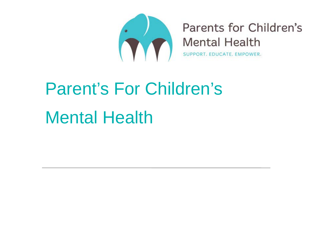

Parents for Children's **Mental Health** 

SUPPORT. EDUCATE. EMPOWER.

# Parent's For Children's Mental Health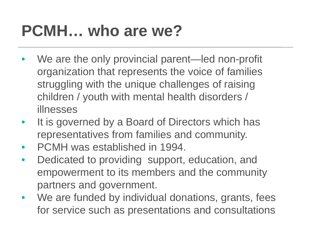#### **PCMH… who are we?**

- We are the only provincial parent—led non-profit organization that represents the voice of families struggling with the unique challenges of raising children / youth with mental health disorders / illnesses
- It is governed by a Board of Directors which has representatives from families and community.
- PCMH was established in 1994.
- Dedicated to providing support, education, and empowerment to its members and the community partners and government.
- We are funded by individual donations, grants, fees for service such as presentations and consultations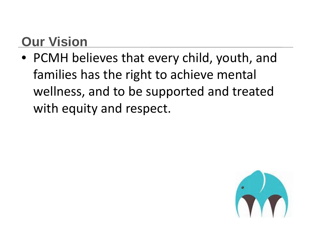#### **Our Vision**

• PCMH believes that every child, youth, and families has the right to achieve mental wellness, and to be supported and treated with equity and respect.

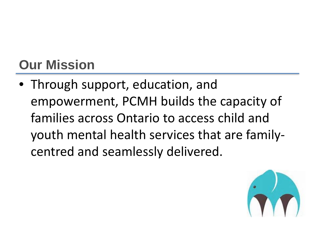#### **Our Mission**

• Through support, education, and empowerment, PCMH builds the capacity of families across Ontario to access child and youth mental health services that are familycentred and seamlessly delivered.

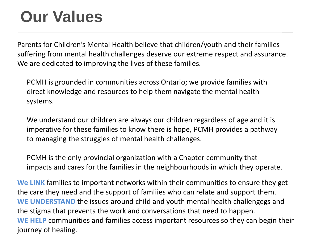#### **Our Values**

Parents for Children's Mental Health believe that children/youth and their families suffering from mental health challenges deserve our extreme respect and assurance. We are dedicated to improving the lives of these families.

PCMH is grounded in communities across Ontario; we provide families with direct knowledge and resources to help them navigate the mental health systems.

We understand our children are always our children regardless of age and it is imperative for these families to know there is hope, PCMH provides a pathway to managing the struggles of mental health challenges.

PCMH is the only provincial organization with a Chapter community that impacts and cares for the families in the neighbourhoods in which they operate.

**We LINK** families to important networks within their communities to ensure they get the care they need and the support of famliies who can relate and support them. **WE UNDERSTAND** the issues around child and youth mental health challengegs and the stigma that prevents the work and conversations that need to happen. **WE HELP** communities and families access important resources so they can begin their journey of healing.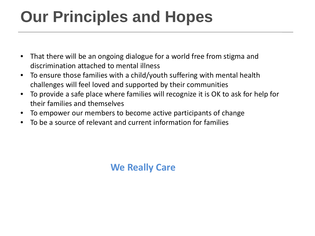### **Our Principles and Hopes**

- That there will be an ongoing dialogue for a world free from stigma and discrimination attached to mental illness
- To ensure those families with a child/youth suffering with mental health challenges will feel loved and supported by their communities
- To provide a safe place where families will recognize it is OK to ask for help for their families and themselves
- To empower our members to become active participants of change
- To be a source of relevant and current information for families

#### **We Really Care**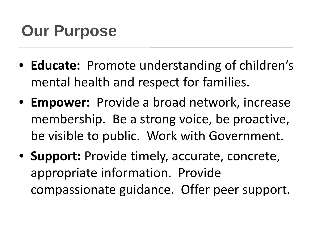#### **Our Purpose**

- **Educate:** Promote understanding of children's mental health and respect for families.
- **Empower:** Provide a broad network, increase membership. Be a strong voice, be proactive, be visible to public. Work with Government.
- **Support:** Provide timely, accurate, concrete, appropriate information. Provide compassionate guidance. Offer peer support.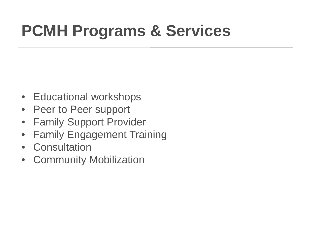### **PCMH Programs & Services**

- Educational workshops
- Peer to Peer support
- Family Support Provider
- Family Engagement Training
- Consultation
- Community Mobilization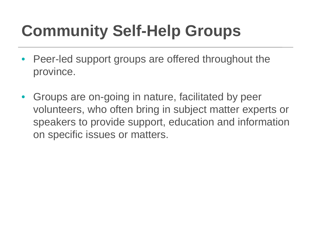## **Community Self-Help Groups**

- Peer-led support groups are offered throughout the province.
- Groups are on-going in nature, facilitated by peer volunteers, who often bring in subject matter experts or speakers to provide support, education and information on specific issues or matters.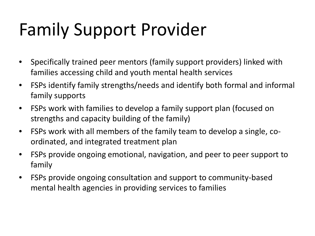# Family Support Provider

- Specifically trained peer mentors (family support providers) linked with families accessing child and youth mental health services
- FSPs identify family strengths/needs and identify both formal and informal family supports
- FSPs work with families to develop a family support plan (focused on strengths and capacity building of the family)
- FSPs work with all members of the family team to develop a single, coordinated, and integrated treatment plan
- FSPs provide ongoing emotional, navigation, and peer to peer support to family
- FSPs provide ongoing consultation and support to community-based mental health agencies in providing services to families